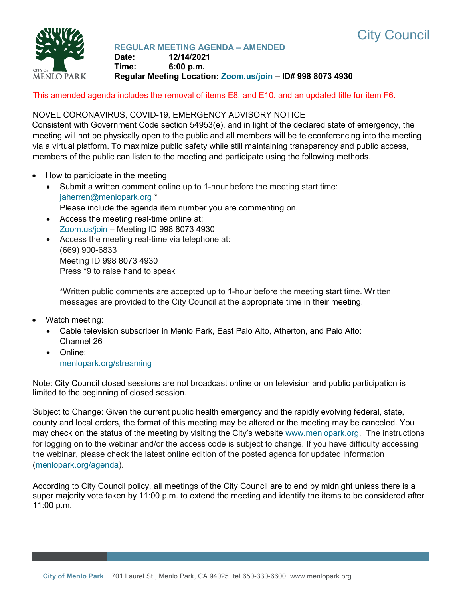



# **REGULAR MEETING AGENDA – AMENDED**

**Date: 12/14/2021 Time: 6:00 p.m. Regular Meeting Location: [Zoom.us/join](https://zoom.us/join) – ID# 998 8073 4930**

This amended agenda includes the removal of items E8. and E10. and an updated title for item F6.

## NOVEL CORONAVIRUS, COVID-19, EMERGENCY ADVISORY NOTICE

Consistent with Government Code section 54953(e), and in light of the declared state of emergency, the meeting will not be physically open to the public and all members will be teleconferencing into the meeting via a virtual platform. To maximize public safety while still maintaining transparency and public access, members of the public can listen to the meeting and participate using the following methods.

- How to participate in the meeting
	- Submit a written comment online up to 1-hour before the meeting start time: [jaherren@menlopark.org](mailto:jaherren@menlopark.org?subject=November%209,%202021%20City%20Council%20meeting%20public%20comment) \* Please include the agenda item number you are commenting on.
	- Access the meeting real-time online at: [Zoom.us/join](https://zoom.us/join) – Meeting ID 998 8073 4930
	- Access the meeting real-time via telephone at: (669) 900-6833 Meeting ID 998 8073 4930 Press \*9 to raise hand to speak

\*Written public comments are accepted up to 1-hour before the meeting start time. Written messages are provided to the City Council at the appropriate time in their meeting.

- Watch meeting:
	- Cable television subscriber in Menlo Park, East Palo Alto, Atherton, and Palo Alto: Channel 26
	- Online: [menlopark.org/streaming](https://www.menlopark.org/streaming)

Note: City Council closed sessions are not broadcast online or on television and public participation is limited to the beginning of closed session.

Subject to Change: Given the current public health emergency and the rapidly evolving federal, state, county and local orders, the format of this meeting may be altered or the meeting may be canceled. You may check on the status of the meeting by visiting the City's website [www.menlopark.org.](http://www.menlopark.org/)The instructions for logging on to the webinar and/or the access code is subject to change. If you have difficulty accessing the webinar, please check the latest online edition of the posted agenda for updated information [\(menlopark.org/agenda\)](http://menlopark.org/agenda).

According to City Council policy, all meetings of the City Council are to end by midnight unless there is a super majority vote taken by 11:00 p.m. to extend the meeting and identify the items to be considered after 11:00 p.m.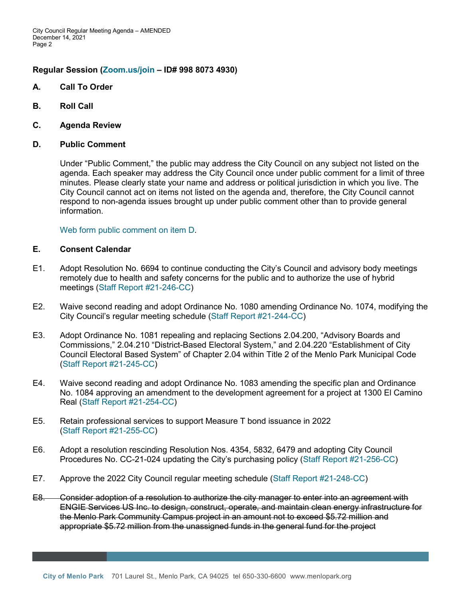## **Regular Session [\(Zoom.us/join](https://zoom.us/join) – ID# 998 8073 4930)**

- **A. Call To Order**
- **B. Roll Call**
- **C. Agenda Review**

### **D. Public Comment**

Under "Public Comment," the public may address the City Council on any subject not listed on the agenda. Each speaker may address the City Council once under public comment for a limit of three minutes. Please clearly state your name and address or political jurisdiction in which you live. The City Council cannot act on items not listed on the agenda and, therefore, the City Council cannot respond to non-agenda issues brought up under public comment other than to provide general information.

[Web form public comment](https://www.menlopark.org/DocumentCenter/View/30142/D-public-comment) on item D.

# **E. Consent Calendar**

- E1. Adopt Resolution No. 6694 to continue conducting the City's Council and advisory body meetings remotely due to health and safety concerns for the public and to authorize the use of hybrid meetings [\(Staff Report #21-246-CC\)](https://www.menlopark.org/DocumentCenter/View/30110/E1-20211214-CC-AB361-compliance)
- E2. Waive second reading and adopt Ordinance No. 1080 amending Ordinance No. 1074, modifying the City Council's regular meeting schedule [\(Staff Report #21-244-CC\)](https://www.menlopark.org/DocumentCenter/View/30116/E2-20211214-CC-Ord-reg-CC-meetings)
- E3. Adopt Ordinance No. 1081 repealing and replacing Sections 2.04.200, "Advisory Boards and Commissions," 2.04.210 "District-Based Electoral System," and 2.04.220 "Establishment of City Council Electoral Based System" of Chapter 2.04 within Title 2 of the Menlo Park Municipal Code [\(Staff Report #21-245-CC\)](https://www.menlopark.org/DocumentCenter/View/30119/E3-202112147-CC-IRC-ord)
- E4. Waive second reading and adopt Ordinance No. 1083 amending the specific plan and Ordinance No. 1084 approving an amendment to the development agreement for a project at 1300 El Camino Real [\(Staff Report #21-254-CC\)](https://www.menlopark.org/DocumentCenter/View/30120/E4-20211214-CC-Springline)
- E5. Retain professional services to support Measure T bond issuance in 2022 [\(Staff Report #21-255-CC\)](https://www.menlopark.org/DocumentCenter/View/30121/E5-20211214-CC-Measure-T)
- E6. Adopt a resolution rescinding Resolution Nos. 4354, 5832, 6479 and adopting City Council Procedures No. CC-21-024 updating the City's purchasing policy [\(Staff Report #21-256-CC\)](https://www.menlopark.org/DocumentCenter/View/30122/E6-20211214-CC-Purchase-policy)
- E7. Approve the 2022 City Council regular meeting schedule [\(Staff Report #21-248-CC\)](https://www.menlopark.org/DocumentCenter/View/30123/E7-20211214-CC-CC-2022-calendar)
- E8. Consider adoption of a resolution to authorize the city manager to enter into an agreement with ENGIE Services US Inc. to design, construct, operate, and maintain clean energy infrastructure for the Menlo Park Community Campus project in an amount not to exceed \$5.72 million and appropriate \$5.72 million from the unassigned funds in the general fund for the project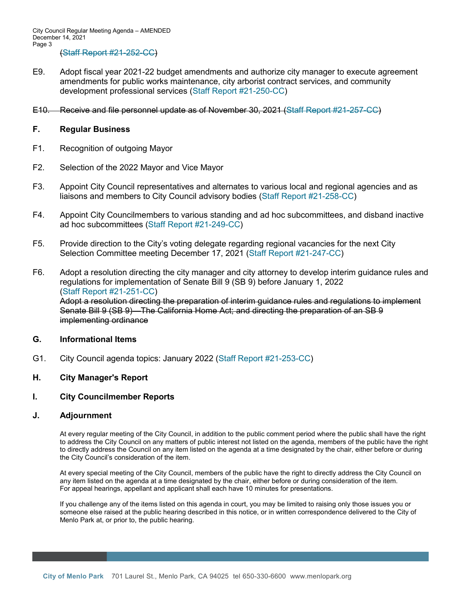- E9. Adopt fiscal year 2021-22 budget amendments and authorize city manager to execute agreement amendments for public works maintenance, city arborist contract services, and community development professional services [\(Staff Report #21-250-CC\)](https://www.menlopark.org/DocumentCenter/View/30112/E9-20211214-CC-Mid-yr-budget)
- E10. Receive and file personnel update as of November 30, 2021 (Staff Report #21-257-CC)

### **F. Regular Business**

- F1. Recognition of outgoing Mayor
- F2. Selection of the 2022 Mayor and Vice Mayor
- F3. Appoint City Council representatives and alternates to various local and regional agencies and as liaisons and members to City Council advisory bodies [\(Staff Report #21-258-CC\)](https://www.menlopark.org/DocumentCenter/View/30125/F3-20211214-CC-Appt-regional-and-liaisons)
- F4. Appoint City Councilmembers to various standing and ad hoc subcommittees, and disband inactive ad hoc subcommittees [\(Staff Report #21-249-CC\)](https://www.menlopark.org/DocumentCenter/View/30127/F4-20211214-CC-Appt-subcommittee)
- F5. Provide direction to the City's voting delegate regarding regional vacancies for the next City Selection Committee meeting December 17, 2021 [\(Staff Report #21-247-CC\)](https://www.menlopark.org/DocumentCenter/View/30128/F5-20211214-CC-City-Select-Comm-delegate)
- F6. Adopt a resolution directing the city manager and city attorney to develop interim guidance rules and regulations for implementation of Senate Bill 9 (SB 9) before January 1, 2022 [\(Staff Report #21-251-CC\)](https://www.menlopark.org/DocumentCenter/View/30113/F6-20211214-CC-SB-9) Adopt a resolution directing the preparation of interim guidance rules and regulations to implement Senate Bill 9 (SB 9)—The California Home Act; and directing the preparation of an SB 9 implementing ordinance

#### **G. Informational Items**

G1. City Council agenda topics: January 2022 [\(Staff Report #21-253-CC\)](https://www.menlopark.org/DocumentCenter/View/30114/G1-20211214-CC-CC-agenda-topics)

### **H. City Manager's Report**

#### **I. City Councilmember Reports**

#### **J. Adjournment**

At every regular meeting of the City Council, in addition to the public comment period where the public shall have the right to address the City Council on any matters of public interest not listed on the agenda, members of the public have the right to directly address the Council on any item listed on the agenda at a time designated by the chair, either before or during the City Council's consideration of the item.

At every special meeting of the City Council, members of the public have the right to directly address the City Council on any item listed on the agenda at a time designated by the chair, either before or during consideration of the item. For appeal hearings, appellant and applicant shall each have 10 minutes for presentations.

If you challenge any of the items listed on this agenda in court, you may be limited to raising only those issues you or someone else raised at the public hearing described in this notice, or in written correspondence delivered to the City of Menlo Park at, or prior to, the public hearing.